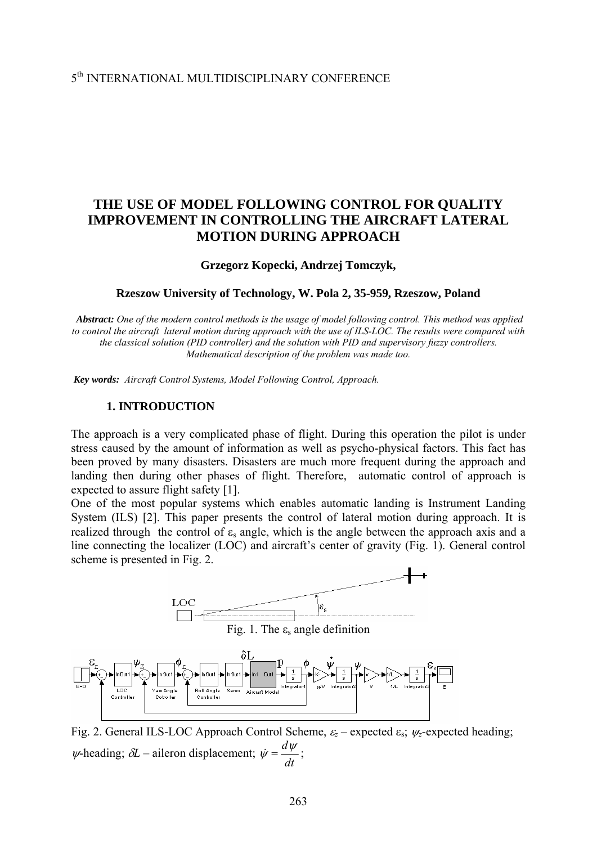### 5th INTERNATIONAL MULTIDISCIPLINARY CONFERENCE

## **THE USE OF MODEL FOLLOWING CONTROL FOR QUALITY IMPROVEMENT IN CONTROLLING THE AIRCRAFT LATERAL MOTION DURING APPROACH**

#### **Grzegorz Kopecki, Andrzej Tomczyk,**

#### **Rzeszow University of Technology, W. Pola 2, 35-959, Rzeszow, Poland**

*Abstract: One of the modern control methods is the usage of model following control. This method was applied*  to control the aircraft lateral motion during approach with the use of ILS-LOC. The results were compared with *the classical solution (PID controller) and the solution with PID and supervisory fuzzy controllers. Mathematical description of the problem was made too.* 

*Key words: Aircraft Control Systems, Model Following Control, Approach.*

#### **1. INTRODUCTION**

The approach is a very complicated phase of flight. During this operation the pilot is under stress caused by the amount of information as well as psycho-physical factors. This fact has been proved by many disasters. Disasters are much more frequent during the approach and landing then during other phases of flight. Therefore, automatic control of approach is expected to assure flight safety [1].

One of the most popular systems which enables automatic landing is Instrument Landing System (ILS) [2]. This paper presents the control of lateral motion during approach. It is realized through the control of  $\varepsilon$ , angle, which is the angle between the approach axis and a line connecting the localizer (LOC) and aircraft's center of gravity (Fig. 1). General control scheme is presented in Fig. 2.



Fig. 2. General ILS-LOC Approach Control Scheme, <sup>ε</sup>*z* – expected εs; <sup>ψ</sup>*z*-expected heading;  $\psi$ -heading;  $\delta L$  – aileron displacement;  $\dot{\psi} = \frac{d\psi}{dt}$ ;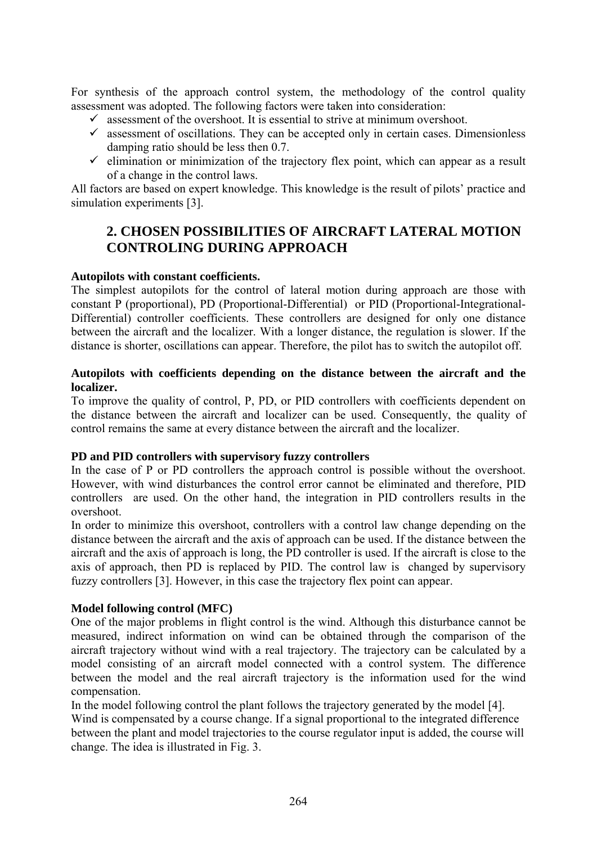For synthesis of the approach control system, the methodology of the control quality assessment was adopted. The following factors were taken into consideration:

- $\checkmark$  assessment of the overshoot. It is essential to strive at minimum overshoot.
- $\checkmark$  assessment of oscillations. They can be accepted only in certain cases. Dimensionless damping ratio should be less then 0.7.
- $\checkmark$  elimination or minimization of the trajectory flex point, which can appear as a result of a change in the control laws.

All factors are based on expert knowledge. This knowledge is the result of pilots' practice and simulation experiments [3].

# **2. CHOSEN POSSIBILITIES OF AIRCRAFT LATERAL MOTION CONTROLING DURING APPROACH**

### **Autopilots with constant coefficients.**

The simplest autopilots for the control of lateral motion during approach are those with constant P (proportional), PD (Proportional-Differential) or PID (Proportional-Integrational-Differential) controller coefficients. These controllers are designed for only one distance between the aircraft and the localizer. With a longer distance, the regulation is slower. If the distance is shorter, oscillations can appear. Therefore, the pilot has to switch the autopilot off.

#### **Autopilots with coefficients depending on the distance between the aircraft and the localizer.**

To improve the quality of control, P, PD, or PID controllers with coefficients dependent on the distance between the aircraft and localizer can be used. Consequently, the quality of control remains the same at every distance between the aircraft and the localizer.

#### **PD and PID controllers with supervisory fuzzy controllers**

In the case of P or PD controllers the approach control is possible without the overshoot. However, with wind disturbances the control error cannot be eliminated and therefore, PID controllers are used. On the other hand, the integration in PID controllers results in the overshoot.

In order to minimize this overshoot, controllers with a control law change depending on the distance between the aircraft and the axis of approach can be used. If the distance between the aircraft and the axis of approach is long, the PD controller is used. If the aircraft is close to the axis of approach, then PD is replaced by PID. The control law is changed by supervisory fuzzy controllers [3]. However, in this case the trajectory flex point can appear.

### **Model following control (MFC)**

One of the major problems in flight control is the wind. Although this disturbance cannot be measured, indirect information on wind can be obtained through the comparison of the aircraft trajectory without wind with a real trajectory. The trajectory can be calculated by a model consisting of an aircraft model connected with a control system. The difference between the model and the real aircraft trajectory is the information used for the wind compensation.

In the model following control the plant follows the trajectory generated by the model [4].

Wind is compensated by a course change. If a signal proportional to the integrated difference between the plant and model trajectories to the course regulator input is added, the course will change. The idea is illustrated in Fig. 3.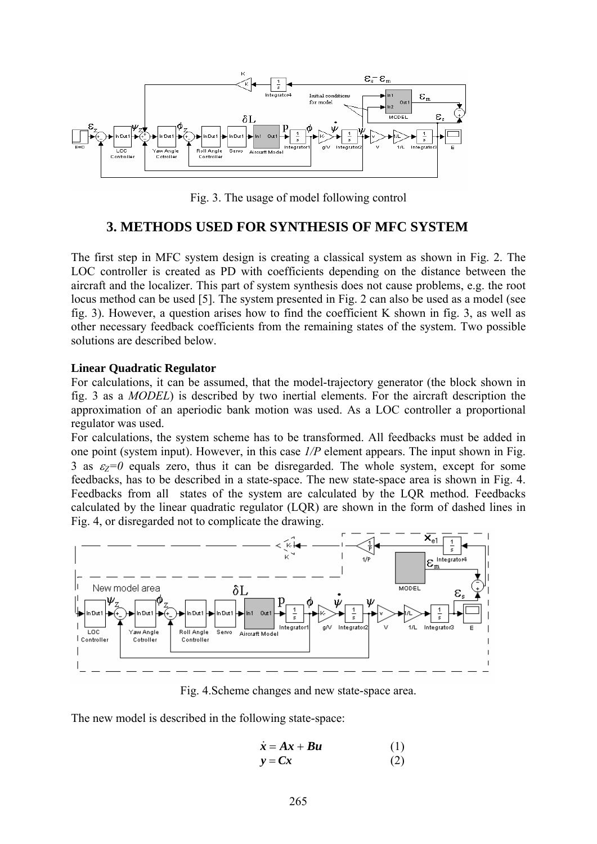

Fig. 3. The usage of model following control

### **3. METHODS USED FOR SYNTHESIS OF MFC SYSTEM**

The first step in MFC system design is creating a classical system as shown in Fig. 2. The LOC controller is created as PD with coefficients depending on the distance between the aircraft and the localizer. This part of system synthesis does not cause problems, e.g. the root locus method can be used [5]. The system presented in Fig. 2 can also be used as a model (see fig. 3). However, a question arises how to find the coefficient K shown in fig. 3, as well as other necessary feedback coefficients from the remaining states of the system. Two possible solutions are described below.

#### **Linear Quadratic Regulator**

For calculations, it can be assumed, that the model-trajectory generator (the block shown in fig. 3 as a *MODEL*) is described by two inertial elements. For the aircraft description the approximation of an aperiodic bank motion was used. As a LOC controller a proportional regulator was used.

For calculations, the system scheme has to be transformed. All feedbacks must be added in one point (system input). However, in this case *1/P* element appears. The input shown in Fig. 3 as  $\varepsilon_Z=0$  equals zero, thus it can be disregarded. The whole system, except for some feedbacks, has to be described in a state-space. The new state-space area is shown in Fig. 4. Feedbacks from all states of the system are calculated by the LQR method. Feedbacks calculated by the linear quadratic regulator (LQR) are shown in the form of dashed lines in Fig. 4, or disregarded not to complicate the drawing.



Fig. 4.Scheme changes and new state-space area.

The new model is described in the following state-space:

$$
\dot{\mathbf{x}} = \mathbf{A}\mathbf{x} + \mathbf{B}\mathbf{u} \tag{1}
$$

$$
y = Cx \tag{2}
$$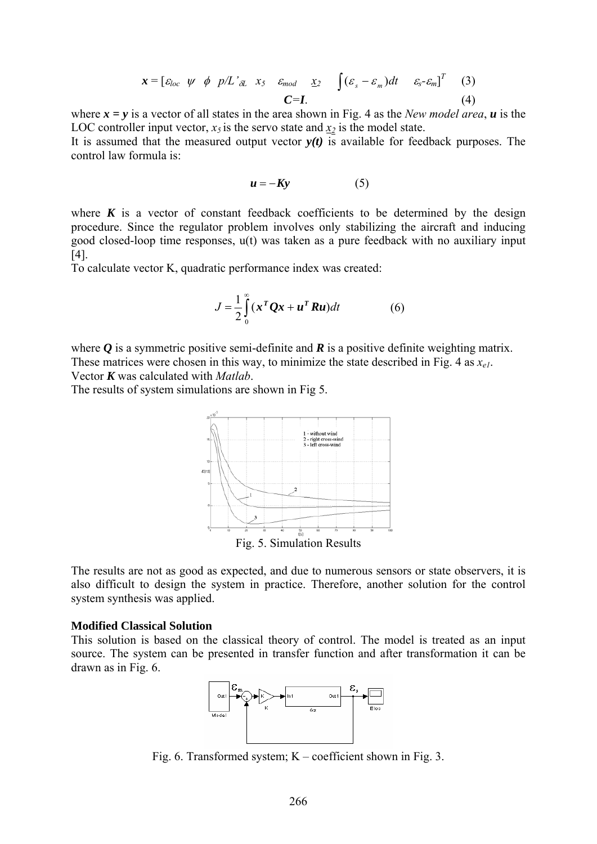$$
\mathbf{x} = [ \varepsilon_{loc} \quad \psi \quad \phi \quad p/L \quad \text{at} \quad x_5 \quad \varepsilon_{mod} \quad \underline{x}_2 \quad \int (\varepsilon_s - \varepsilon_m) dt \quad \varepsilon_s - \varepsilon_m]^T \tag{3}
$$
\n
$$
\mathbf{C} = \mathbf{I}. \tag{4}
$$

where  $x = y$  is a vector of all states in the area shown in Fig. 4 as the *New model area*,  $u$  is the LOC controller input vector,  $x_5$  is the servo state and  $x_2$  is the model state.

It is assumed that the measured output vector  $y(t)$  is available for feedback purposes. The control law formula is:

$$
u = -Ky \tag{5}
$$

where  $K$  is a vector of constant feedback coefficients to be determined by the design procedure. Since the regulator problem involves only stabilizing the aircraft and inducing good closed-loop time responses, u(t) was taken as a pure feedback with no auxiliary input [4].

To calculate vector K, quadratic performance index was created:

$$
J = \frac{1}{2} \int_{0}^{\infty} (x^T Q x + u^T R u) dt
$$
 (6)

where  $\boldsymbol{O}$  is a symmetric positive semi-definite and  $\boldsymbol{R}$  is a positive definite weighting matrix. These matrices were chosen in this way, to minimize the state described in Fig. 4 as  $x_{e1}$ . Vector *K* was calculated with *Matlab*.

The results of system simulations are shown in Fig 5.



The results are not as good as expected, and due to numerous sensors or state observers, it is also difficult to design the system in practice. Therefore, another solution for the control system synthesis was applied.

#### **Modified Classical Solution**

This solution is based on the classical theory of control. The model is treated as an input source. The system can be presented in transfer function and after transformation it can be drawn as in Fig. 6.



Fig. 6. Transformed system; K – coefficient shown in Fig. 3.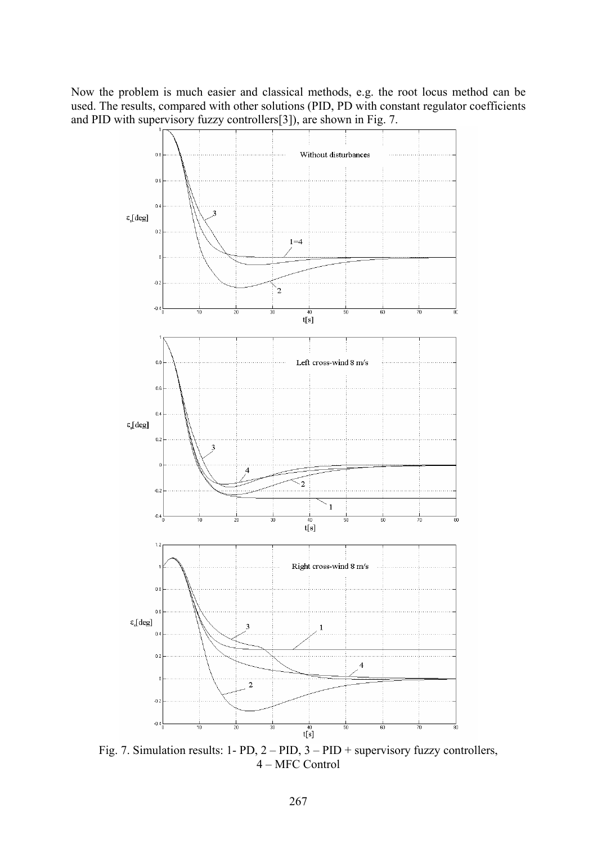Now the problem is much easier and classical methods, e.g. the root locus method can be used. The results, compared with other solutions (PID, PD with constant regulator coefficients and PID with supervisory fuzzy controllers[3]), are shown in Fig. 7.



Fig. 7. Simulation results: 1- PD, 2 – PID, 3 – PID + supervisory fuzzy controllers, 4 – MFC Control